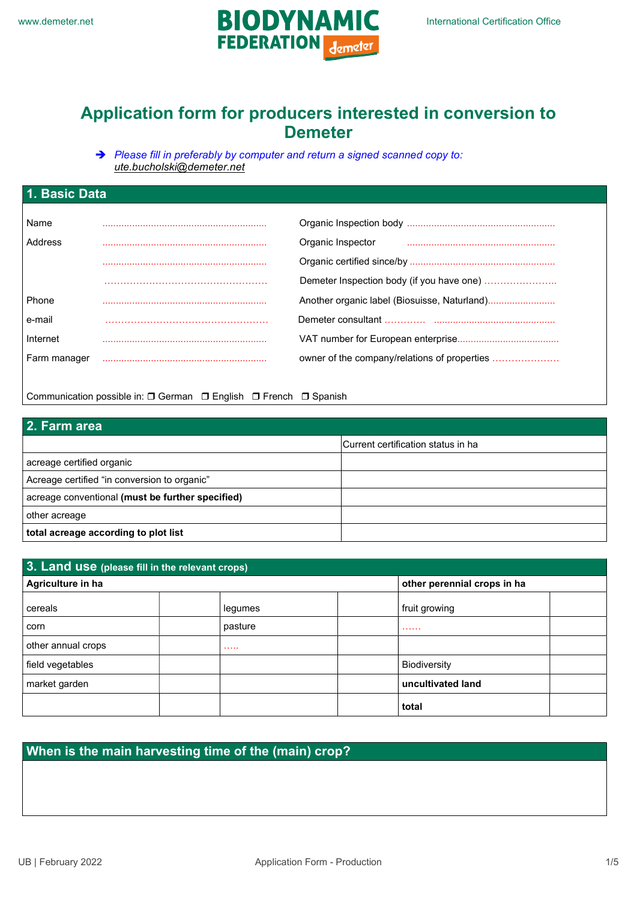

# Application form for producers interested in conversion to Demeter

Please fill in preferably by computer and return a signed scanned copy to: ute.bucholski@demeter.net

| 1. Basic Data |  |                                              |  |
|---------------|--|----------------------------------------------|--|
|               |  |                                              |  |
| Name          |  |                                              |  |
| Address       |  | Organic Inspector                            |  |
|               |  |                                              |  |
|               |  | Demeter Inspection body (if you have one)    |  |
| Phone         |  |                                              |  |
| e-mail        |  |                                              |  |
| Internet      |  |                                              |  |
| Farm manager  |  | owner of the company/relations of properties |  |
|               |  |                                              |  |

Communication possible in: □ German □ English □ French □ Spanish

| 2. Farm area                                     |                                    |  |
|--------------------------------------------------|------------------------------------|--|
|                                                  | Current certification status in ha |  |
| acreage certified organic                        |                                    |  |
| Acreage certified "in conversion to organic"     |                                    |  |
| acreage conventional (must be further specified) |                                    |  |
| other acreage                                    |                                    |  |
| total acreage according to plot list             |                                    |  |

| 3. Land use (please fill in the relevant crops) |         |                             |  |
|-------------------------------------------------|---------|-----------------------------|--|
| Agriculture in ha                               |         | other perennial crops in ha |  |
| cereals                                         | legumes | fruit growing               |  |
| corn                                            | pasture | .                           |  |
| other annual crops                              | 1.1.1.1 |                             |  |
| field vegetables                                |         | <b>Biodiversity</b>         |  |
| market garden                                   |         | uncultivated land           |  |
|                                                 |         | total                       |  |

### When is the main harvesting time of the (main) crop?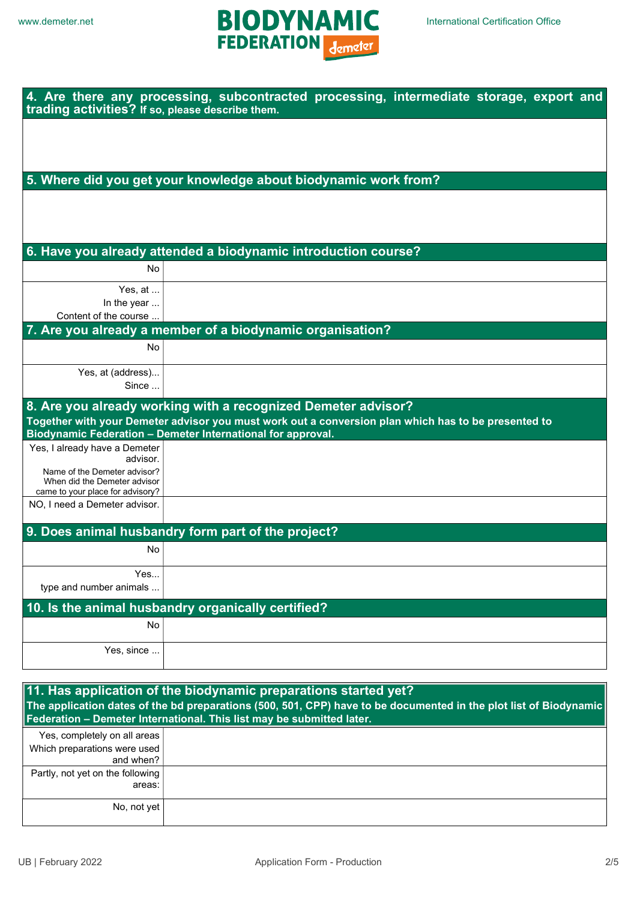

| trading activities? If so, please describe them.                                                 | 4. Are there any processing, subcontracted processing, intermediate storage, export and                                                                                              |  |  |  |
|--------------------------------------------------------------------------------------------------|--------------------------------------------------------------------------------------------------------------------------------------------------------------------------------------|--|--|--|
|                                                                                                  |                                                                                                                                                                                      |  |  |  |
|                                                                                                  |                                                                                                                                                                                      |  |  |  |
|                                                                                                  | 5. Where did you get your knowledge about biodynamic work from?                                                                                                                      |  |  |  |
|                                                                                                  |                                                                                                                                                                                      |  |  |  |
|                                                                                                  |                                                                                                                                                                                      |  |  |  |
|                                                                                                  | 6. Have you already attended a biodynamic introduction course?                                                                                                                       |  |  |  |
| No                                                                                               |                                                                                                                                                                                      |  |  |  |
| Yes, at                                                                                          |                                                                                                                                                                                      |  |  |  |
| In the year<br>Content of the course                                                             |                                                                                                                                                                                      |  |  |  |
|                                                                                                  | 7. Are you already a member of a biodynamic organisation?                                                                                                                            |  |  |  |
| No                                                                                               |                                                                                                                                                                                      |  |  |  |
| Yes, at (address)<br>Since                                                                       |                                                                                                                                                                                      |  |  |  |
|                                                                                                  | 8. Are you already working with a recognized Demeter advisor?                                                                                                                        |  |  |  |
|                                                                                                  | Together with your Demeter advisor you must work out a conversion plan which has to be presented to<br>Biodynamic Federation - Demeter International for approval.                   |  |  |  |
| Yes, I already have a Demeter<br>advisor.                                                        |                                                                                                                                                                                      |  |  |  |
| Name of the Demeter advisor?<br>When did the Demeter advisor<br>came to your place for advisory? |                                                                                                                                                                                      |  |  |  |
| NO, I need a Demeter advisor.                                                                    |                                                                                                                                                                                      |  |  |  |
|                                                                                                  | 9. Does animal husbandry form part of the project?                                                                                                                                   |  |  |  |
| No                                                                                               |                                                                                                                                                                                      |  |  |  |
| Yes                                                                                              |                                                                                                                                                                                      |  |  |  |
| type and number animals                                                                          |                                                                                                                                                                                      |  |  |  |
| No                                                                                               | 10. Is the animal husbandry organically certified?                                                                                                                                   |  |  |  |
|                                                                                                  |                                                                                                                                                                                      |  |  |  |
| Yes, since                                                                                       |                                                                                                                                                                                      |  |  |  |
|                                                                                                  |                                                                                                                                                                                      |  |  |  |
|                                                                                                  | 11. Has application of the biodynamic preparations started yet?<br>The application dates of the bd preparations (500, 501, CPP) have to be documented in the plot list of Biodynamic |  |  |  |
|                                                                                                  | Federation - Demeter International. This list may be submitted later.                                                                                                                |  |  |  |

|                                  | $\mu$ outration source international rino not may be cubinitied rate. |
|----------------------------------|-----------------------------------------------------------------------|
| Yes, completely on all areas     |                                                                       |
| Which preparations were used     |                                                                       |
| and when? $ $                    |                                                                       |
| Partly, not yet on the following |                                                                       |
| areas:                           |                                                                       |
|                                  |                                                                       |
| No, not yet                      |                                                                       |
|                                  |                                                                       |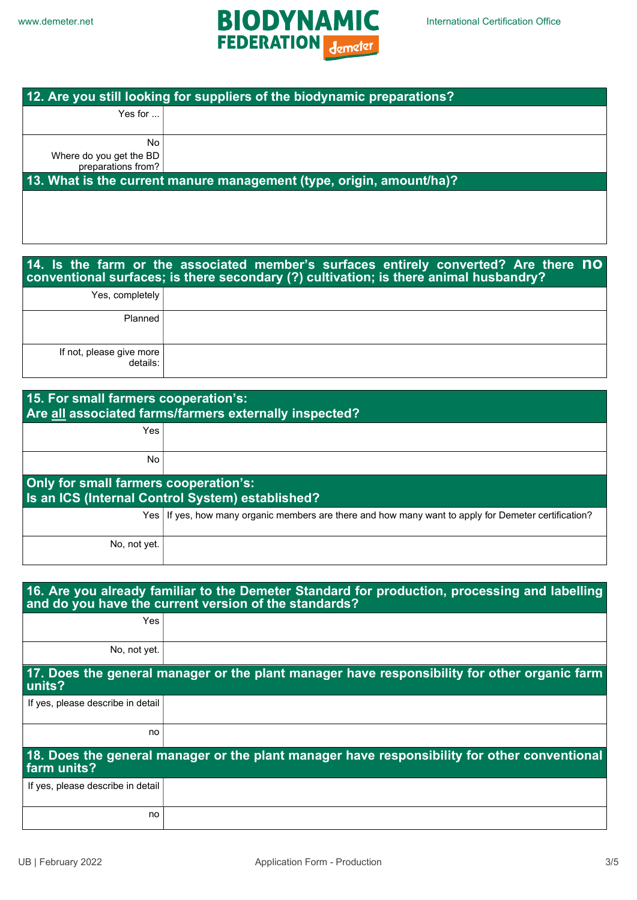

| 12. Are you still looking for suppliers of the biodynamic preparations? |  |  |
|-------------------------------------------------------------------------|--|--|
|                                                                         |  |  |
|                                                                         |  |  |
|                                                                         |  |  |
|                                                                         |  |  |
|                                                                         |  |  |
| 13. What is the current manure management (type, origin, amount/ha)?    |  |  |
|                                                                         |  |  |
|                                                                         |  |  |

|                                      | 14. Is the farm or the associated member's surfaces entirely converted? Are there no<br>conventional surfaces; is there secondary (?) cultivation; is there animal husbandry? |
|--------------------------------------|-------------------------------------------------------------------------------------------------------------------------------------------------------------------------------|
| Yes, completely                      |                                                                                                                                                                               |
| Planned                              |                                                                                                                                                                               |
| If not, please give more<br>details: |                                                                                                                                                                               |

| 15. For small farmers cooperation's:<br>Are all associated farms/farmers externally inspected? |                                                                                                        |  |
|------------------------------------------------------------------------------------------------|--------------------------------------------------------------------------------------------------------|--|
| Yes                                                                                            |                                                                                                        |  |
| <b>No</b>                                                                                      |                                                                                                        |  |
| Only for small farmers cooperation's:                                                          | Is an ICS (Internal Control System) established?                                                       |  |
|                                                                                                | Yes   If yes, how many organic members are there and how many want to apply for Demeter certification? |  |
| No, not yet.                                                                                   |                                                                                                        |  |

| 16. Are you already familiar to the Demeter Standard for production, processing and labelling<br>and do you have the current version of the standards? |                                                                                              |  |  |
|--------------------------------------------------------------------------------------------------------------------------------------------------------|----------------------------------------------------------------------------------------------|--|--|
| <b>Yes</b>                                                                                                                                             |                                                                                              |  |  |
| No, not yet.                                                                                                                                           |                                                                                              |  |  |
| units?                                                                                                                                                 | 17. Does the general manager or the plant manager have responsibility for other organic farm |  |  |
| If yes, please describe in detail                                                                                                                      |                                                                                              |  |  |
| no                                                                                                                                                     |                                                                                              |  |  |
| 18. Does the general manager or the plant manager have responsibility for other conventional<br>farm units?                                            |                                                                                              |  |  |
| If yes, please describe in detail                                                                                                                      |                                                                                              |  |  |
| no                                                                                                                                                     |                                                                                              |  |  |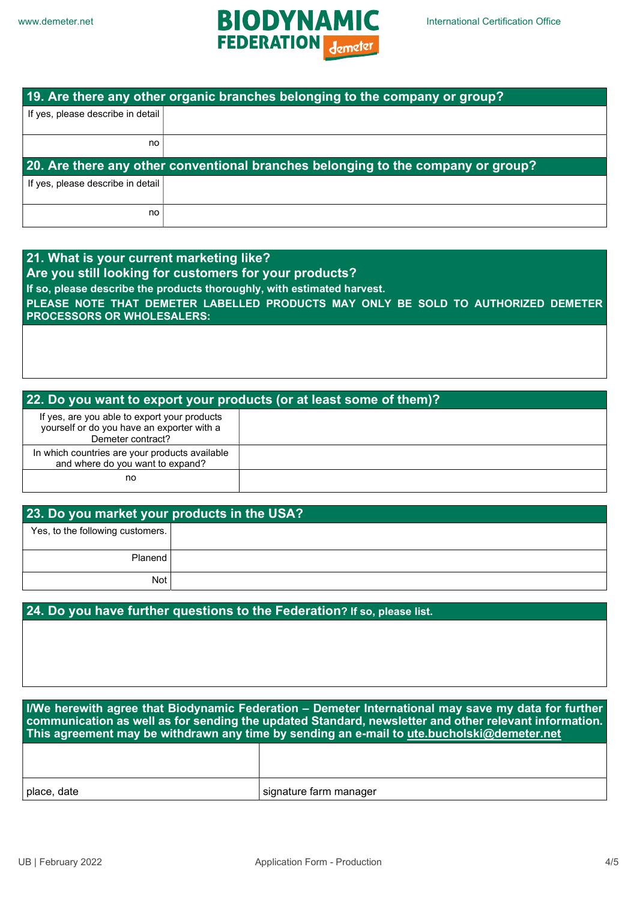

| 19. Are there any other organic branches belonging to the company or group? |                                                                                  |  |  |
|-----------------------------------------------------------------------------|----------------------------------------------------------------------------------|--|--|
| If yes, please describe in detail                                           |                                                                                  |  |  |
|                                                                             |                                                                                  |  |  |
| no.                                                                         |                                                                                  |  |  |
|                                                                             |                                                                                  |  |  |
|                                                                             | 20. Are there any other conventional branches belonging to the company or group? |  |  |
| If yes, please describe in detail                                           |                                                                                  |  |  |
|                                                                             |                                                                                  |  |  |

| 21. What is your current marketing like?                                          |
|-----------------------------------------------------------------------------------|
|                                                                                   |
| Are you still looking for customers for your products?                            |
|                                                                                   |
| If so, please describe the products thoroughly, with estimated harvest.           |
|                                                                                   |
| PLEASE NOTE THAT DEMETER LABELLED PRODUCTS MAY ONLY BE SOLD TO AUTHORIZED DEMETER |
|                                                                                   |
| <b>PROCESSORS OR WHOLESALERS:</b>                                                 |
|                                                                                   |

### 22. Do you want to export your products (or at least some of them)?

| If yes, are you able to export your products<br>yourself or do you have an exporter with a<br>Demeter contract? |  |
|-----------------------------------------------------------------------------------------------------------------|--|
| In which countries are your products available<br>and where do you want to expand?                              |  |
| no                                                                                                              |  |

### 23. Do you market your products in the USA?

Yes, to the following customers.

Planend Not

## 24. Do you have further questions to the Federation? If so, please list.

I/We herewith agree that Biodynamic Federation – Demeter International may save my data for further communication as well as for sending the updated Standard, newsletter and other relevant information. This agreement may be withdrawn any time by sending an e-mail to ute bucholski@demeter.net

| place, date | signature farm manager |
|-------------|------------------------|